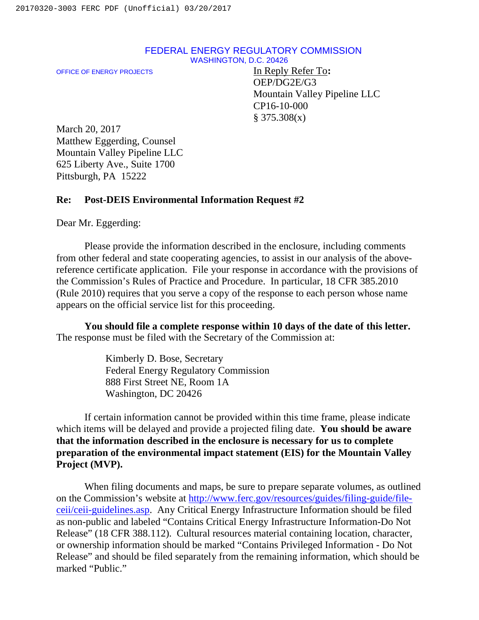#### FEDERAL ENERGY REGULATORY COMMISSION WASHINGTON, D.C. 20426

OFFICE OF ENERGY PROJECTS In Reply Refer To**:** OEP/DG2E/G3 Mountain Valley Pipeline LLC CP16-10-000  $§ 375.308(x)$ 

March 20, 2017 Matthew Eggerding, Counsel Mountain Valley Pipeline LLC 625 Liberty Ave., Suite 1700 Pittsburgh, PA 15222

#### **Re: Post-DEIS Environmental Information Request #2**

Dear Mr. Eggerding:

Please provide the information described in the enclosure, including comments from other federal and state cooperating agencies, to assist in our analysis of the abovereference certificate application. File your response in accordance with the provisions of the Commission's Rules of Practice and Procedure. In particular, 18 CFR 385.2010 (Rule 2010) requires that you serve a copy of the response to each person whose name appears on the official service list for this proceeding.

**You should file a complete response within 10 days of the date of this letter.**  The response must be filed with the Secretary of the Commission at:

> Kimberly D. Bose, Secretary Federal Energy Regulatory Commission 888 First Street NE, Room 1A Washington, DC 20426

If certain information cannot be provided within this time frame, please indicate which items will be delayed and provide a projected filing date. **You should be aware that the information described in the enclosure is necessary for us to complete preparation of the environmental impact statement (EIS) for the Mountain Valley Project (MVP).** 

When filing documents and maps, be sure to prepare separate volumes, as outlined on the Commission's website at http://www.ferc.gov/resources/guides/filing-guide/fileceii/ceii-guidelines.asp. Any Critical Energy Infrastructure Information should be filed as non-public and labeled "Contains Critical Energy Infrastructure Information-Do Not Release" (18 CFR 388.112). Cultural resources material containing location, character, or ownership information should be marked "Contains Privileged Information - Do Not Release" and should be filed separately from the remaining information, which should be marked "Public."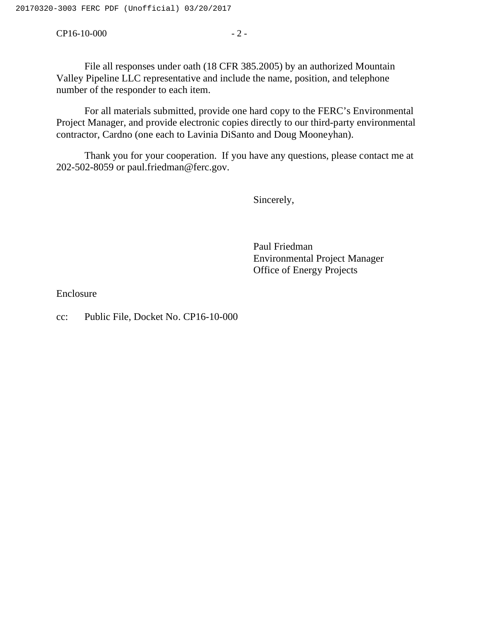#### $CP16-10-000$  - 2 -

File all responses under oath (18 CFR 385.2005) by an authorized Mountain Valley Pipeline LLC representative and include the name, position, and telephone number of the responder to each item.

For all materials submitted, provide one hard copy to the FERC's Environmental Project Manager, and provide electronic copies directly to our third-party environmental contractor, Cardno (one each to Lavinia DiSanto and Doug Mooneyhan).

Thank you for your cooperation. If you have any questions, please contact me at 202-502-8059 or paul.friedman@ferc.gov.

Sincerely,

Paul Friedman Environmental Project Manager Office of Energy Projects

Enclosure

cc: Public File, Docket No. CP16-10-000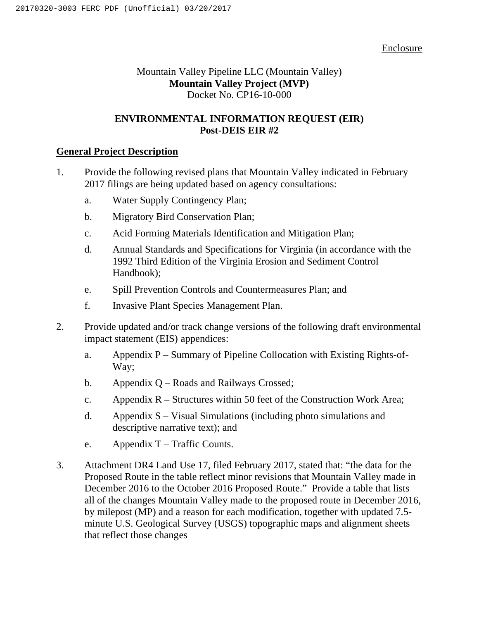#### Enclosure

# Mountain Valley Pipeline LLC (Mountain Valley) **Mountain Valley Project (MVP)** Docket No. CP16-10-000

# **ENVIRONMENTAL INFORMATION REQUEST (EIR) Post-DEIS EIR #2**

## **General Project Description**

- 1. Provide the following revised plans that Mountain Valley indicated in February 2017 filings are being updated based on agency consultations:
	- a. Water Supply Contingency Plan;
	- b. Migratory Bird Conservation Plan;
	- c. Acid Forming Materials Identification and Mitigation Plan;
	- d. Annual Standards and Specifications for Virginia (in accordance with the 1992 Third Edition of the Virginia Erosion and Sediment Control Handbook);
	- e. Spill Prevention Controls and Countermeasures Plan; and
	- f. Invasive Plant Species Management Plan.
- 2. Provide updated and/or track change versions of the following draft environmental impact statement (EIS) appendices:
	- a. Appendix P Summary of Pipeline Collocation with Existing Rights-of-Way;
	- b. Appendix Q Roads and Railways Crossed;
	- c. Appendix  $R -$  Structures within 50 feet of the Construction Work Area;
	- d. Appendix S Visual Simulations (including photo simulations and descriptive narrative text); and
	- e. Appendix T Traffic Counts.
- 3. Attachment DR4 Land Use 17, filed February 2017, stated that: "the data for the Proposed Route in the table reflect minor revisions that Mountain Valley made in December 2016 to the October 2016 Proposed Route." Provide a table that lists all of the changes Mountain Valley made to the proposed route in December 2016, by milepost (MP) and a reason for each modification, together with updated 7.5 minute U.S. Geological Survey (USGS) topographic maps and alignment sheets that reflect those changes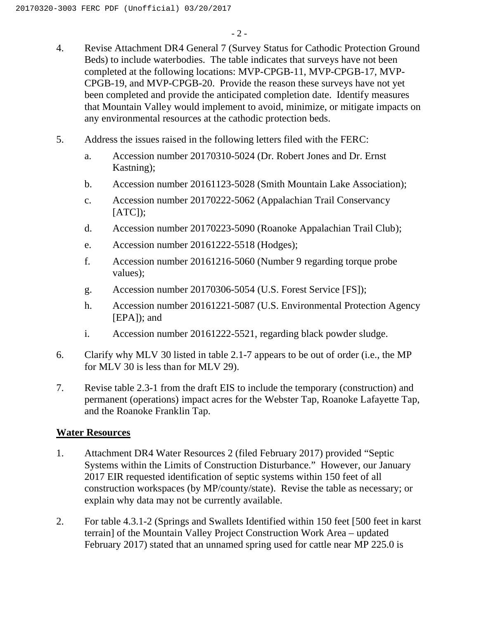- 4. Revise Attachment DR4 General 7 (Survey Status for Cathodic Protection Ground Beds) to include waterbodies. The table indicates that surveys have not been completed at the following locations: MVP-CPGB-11, MVP-CPGB-17, MVP-CPGB-19, and MVP-CPGB-20. Provide the reason these surveys have not yet been completed and provide the anticipated completion date. Identify measures that Mountain Valley would implement to avoid, minimize, or mitigate impacts on any environmental resources at the cathodic protection beds.
- 5. Address the issues raised in the following letters filed with the FERC:
	- a. Accession number 20170310-5024 (Dr. Robert Jones and Dr. Ernst Kastning);
	- b. Accession number 20161123-5028 (Smith Mountain Lake Association);
	- c. Accession number 20170222-5062 (Appalachian Trail Conservancy  $[ATC]$ ;
	- d. Accession number 20170223-5090 (Roanoke Appalachian Trail Club);
	- e. Accession number 20161222-5518 (Hodges);
	- f. Accession number 20161216-5060 (Number 9 regarding torque probe values);
	- g. Accession number 20170306-5054 (U.S. Forest Service [FS]);
	- h. Accession number 20161221-5087 (U.S. Environmental Protection Agency [EPA]); and
	- i. Accession number 20161222-5521, regarding black powder sludge.
- 6. Clarify why MLV 30 listed in table 2.1-7 appears to be out of order (i.e., the MP for MLV 30 is less than for MLV 29).
- 7. Revise table 2.3-1 from the draft EIS to include the temporary (construction) and permanent (operations) impact acres for the Webster Tap, Roanoke Lafayette Tap, and the Roanoke Franklin Tap.

## **Water Resources**

- 1. Attachment DR4 Water Resources 2 (filed February 2017) provided "Septic Systems within the Limits of Construction Disturbance." However, our January 2017 EIR requested identification of septic systems within 150 feet of all construction workspaces (by MP/county/state). Revise the table as necessary; or explain why data may not be currently available.
- 2. For table 4.3.1-2 (Springs and Swallets Identified within 150 feet [500 feet in karst terrain] of the Mountain Valley Project Construction Work Area – updated February 2017) stated that an unnamed spring used for cattle near MP 225.0 is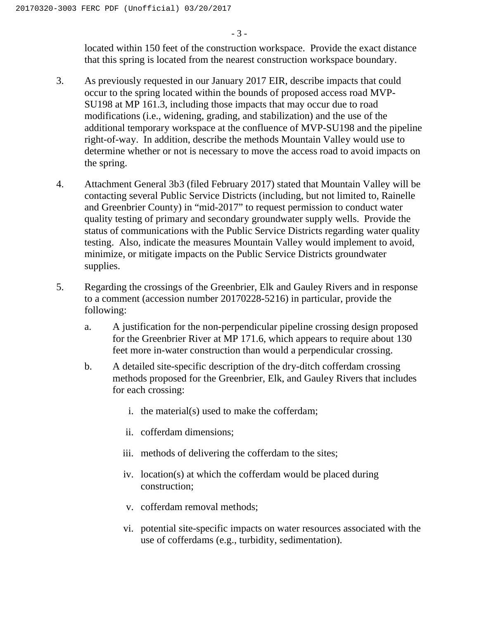- 3 -

located within 150 feet of the construction workspace. Provide the exact distance that this spring is located from the nearest construction workspace boundary.

- 3. As previously requested in our January 2017 EIR, describe impacts that could occur to the spring located within the bounds of proposed access road MVP-SU198 at MP 161.3, including those impacts that may occur due to road modifications (i.e., widening, grading, and stabilization) and the use of the additional temporary workspace at the confluence of MVP-SU198 and the pipeline right-of-way. In addition, describe the methods Mountain Valley would use to determine whether or not is necessary to move the access road to avoid impacts on the spring.
- 4. Attachment General 3b3 (filed February 2017) stated that Mountain Valley will be contacting several Public Service Districts (including, but not limited to, Rainelle and Greenbrier County) in "mid-2017" to request permission to conduct water quality testing of primary and secondary groundwater supply wells. Provide the status of communications with the Public Service Districts regarding water quality testing. Also, indicate the measures Mountain Valley would implement to avoid, minimize, or mitigate impacts on the Public Service Districts groundwater supplies.
- 5. Regarding the crossings of the Greenbrier, Elk and Gauley Rivers and in response to a comment (accession number 20170228-5216) in particular, provide the following:
	- a. A justification for the non-perpendicular pipeline crossing design proposed for the Greenbrier River at MP 171.6, which appears to require about 130 feet more in-water construction than would a perpendicular crossing.
	- b. A detailed site-specific description of the dry-ditch cofferdam crossing methods proposed for the Greenbrier, Elk, and Gauley Rivers that includes for each crossing:
		- i. the material(s) used to make the cofferdam;
		- ii. cofferdam dimensions;
		- iii. methods of delivering the cofferdam to the sites;
		- iv. location(s) at which the cofferdam would be placed during construction;
		- v. cofferdam removal methods;
		- vi. potential site-specific impacts on water resources associated with the use of cofferdams (e.g., turbidity, sedimentation).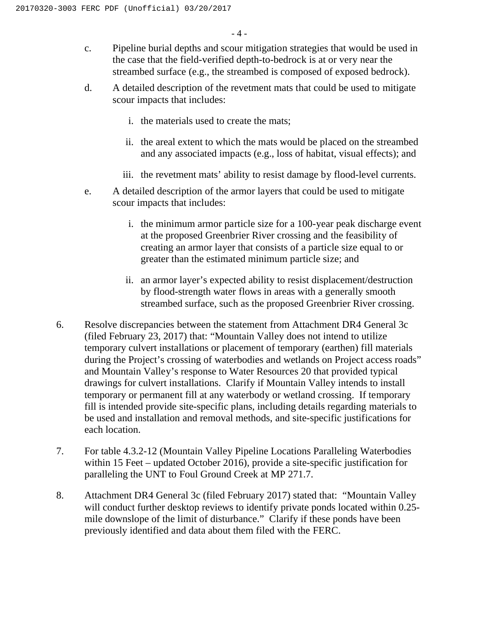$-4-$ 

- c. Pipeline burial depths and scour mitigation strategies that would be used in the case that the field-verified depth-to-bedrock is at or very near the streambed surface (e.g., the streambed is composed of exposed bedrock).
- d. A detailed description of the revetment mats that could be used to mitigate scour impacts that includes:
	- i. the materials used to create the mats;
	- ii. the areal extent to which the mats would be placed on the streambed and any associated impacts (e.g., loss of habitat, visual effects); and
	- iii. the revetment mats' ability to resist damage by flood-level currents.
- e. A detailed description of the armor layers that could be used to mitigate scour impacts that includes:
	- i. the minimum armor particle size for a 100-year peak discharge event at the proposed Greenbrier River crossing and the feasibility of creating an armor layer that consists of a particle size equal to or greater than the estimated minimum particle size; and
	- ii. an armor layer's expected ability to resist displacement/destruction by flood-strength water flows in areas with a generally smooth streambed surface, such as the proposed Greenbrier River crossing.
- 6. Resolve discrepancies between the statement from Attachment DR4 General 3c (filed February 23, 2017) that: "Mountain Valley does not intend to utilize temporary culvert installations or placement of temporary (earthen) fill materials during the Project's crossing of waterbodies and wetlands on Project access roads" and Mountain Valley's response to Water Resources 20 that provided typical drawings for culvert installations. Clarify if Mountain Valley intends to install temporary or permanent fill at any waterbody or wetland crossing. If temporary fill is intended provide site-specific plans, including details regarding materials to be used and installation and removal methods, and site-specific justifications for each location.
- 7. For table 4.3.2-12 (Mountain Valley Pipeline Locations Paralleling Waterbodies within 15 Feet – updated October 2016), provide a site-specific justification for paralleling the UNT to Foul Ground Creek at MP 271.7.
- 8. Attachment DR4 General 3c (filed February 2017) stated that: "Mountain Valley will conduct further desktop reviews to identify private ponds located within 0.25mile downslope of the limit of disturbance." Clarify if these ponds have been previously identified and data about them filed with the FERC.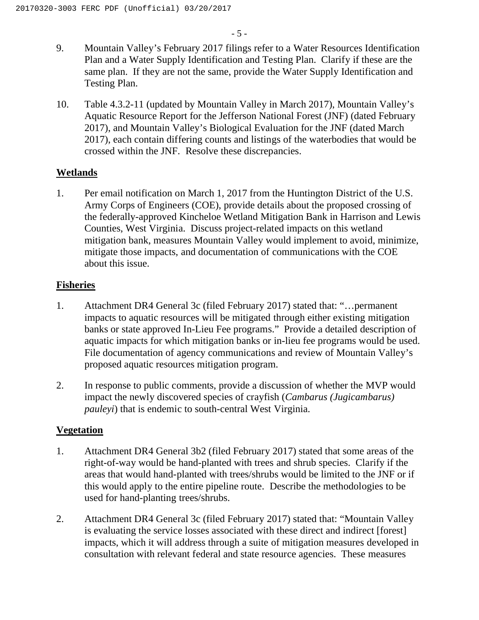- 9. Mountain Valley's February 2017 filings refer to a Water Resources Identification Plan and a Water Supply Identification and Testing Plan. Clarify if these are the same plan. If they are not the same, provide the Water Supply Identification and Testing Plan.
- 10. Table 4.3.2-11 (updated by Mountain Valley in March 2017), Mountain Valley's Aquatic Resource Report for the Jefferson National Forest (JNF) (dated February 2017), and Mountain Valley's Biological Evaluation for the JNF (dated March 2017), each contain differing counts and listings of the waterbodies that would be crossed within the JNF. Resolve these discrepancies.

## **Wetlands**

1. Per email notification on March 1, 2017 from the Huntington District of the U.S. Army Corps of Engineers (COE), provide details about the proposed crossing of the federally-approved Kincheloe Wetland Mitigation Bank in Harrison and Lewis Counties, West Virginia. Discuss project-related impacts on this wetland mitigation bank, measures Mountain Valley would implement to avoid, minimize, mitigate those impacts, and documentation of communications with the COE about this issue.

## **Fisheries**

- 1. Attachment DR4 General 3c (filed February 2017) stated that: "…permanent impacts to aquatic resources will be mitigated through either existing mitigation banks or state approved In-Lieu Fee programs." Provide a detailed description of aquatic impacts for which mitigation banks or in-lieu fee programs would be used. File documentation of agency communications and review of Mountain Valley's proposed aquatic resources mitigation program.
- 2. In response to public comments, provide a discussion of whether the MVP would impact the newly discovered species of crayfish (*Cambarus (Jugicambarus) pauleyi*) that is endemic to south-central West Virginia.

## **Vegetation**

- 1. Attachment DR4 General 3b2 (filed February 2017) stated that some areas of the right-of-way would be hand-planted with trees and shrub species. Clarify if the areas that would hand-planted with trees/shrubs would be limited to the JNF or if this would apply to the entire pipeline route. Describe the methodologies to be used for hand-planting trees/shrubs.
- 2. Attachment DR4 General 3c (filed February 2017) stated that: "Mountain Valley is evaluating the service losses associated with these direct and indirect [forest] impacts, which it will address through a suite of mitigation measures developed in consultation with relevant federal and state resource agencies. These measures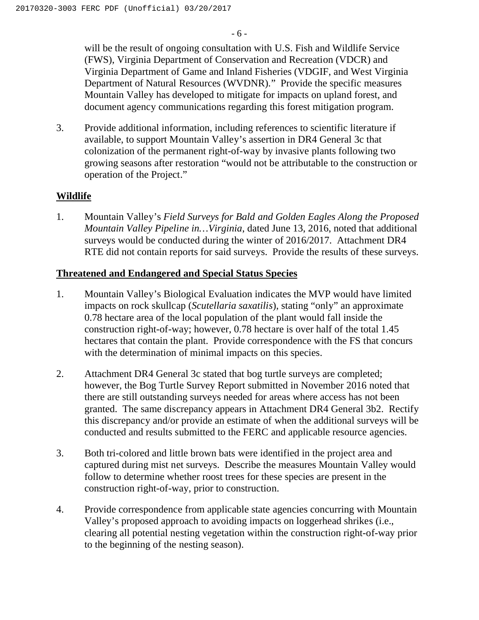will be the result of ongoing consultation with U.S. Fish and Wildlife Service (FWS), Virginia Department of Conservation and Recreation (VDCR) and Virginia Department of Game and Inland Fisheries (VDGIF, and West Virginia Department of Natural Resources (WVDNR)." Provide the specific measures Mountain Valley has developed to mitigate for impacts on upland forest, and document agency communications regarding this forest mitigation program.

3. Provide additional information, including references to scientific literature if available, to support Mountain Valley's assertion in DR4 General 3c that colonization of the permanent right-of-way by invasive plants following two growing seasons after restoration "would not be attributable to the construction or operation of the Project."

## **Wildlife**

1. Mountain Valley's *Field Surveys for Bald and Golden Eagles Along the Proposed Mountain Valley Pipeline in…Virginia*, dated June 13, 2016, noted that additional surveys would be conducted during the winter of 2016/2017. Attachment DR4 RTE did not contain reports for said surveys. Provide the results of these surveys.

## **Threatened and Endangered and Special Status Species**

- 1. Mountain Valley's Biological Evaluation indicates the MVP would have limited impacts on rock skullcap (*Scutellaria saxatilis*), stating "only" an approximate 0.78 hectare area of the local population of the plant would fall inside the construction right-of-way; however, 0.78 hectare is over half of the total 1.45 hectares that contain the plant. Provide correspondence with the FS that concurs with the determination of minimal impacts on this species.
- 2. Attachment DR4 General 3c stated that bog turtle surveys are completed; however, the Bog Turtle Survey Report submitted in November 2016 noted that there are still outstanding surveys needed for areas where access has not been granted. The same discrepancy appears in Attachment DR4 General 3b2. Rectify this discrepancy and/or provide an estimate of when the additional surveys will be conducted and results submitted to the FERC and applicable resource agencies.
- 3. Both tri-colored and little brown bats were identified in the project area and captured during mist net surveys. Describe the measures Mountain Valley would follow to determine whether roost trees for these species are present in the construction right-of-way, prior to construction.
- 4. Provide correspondence from applicable state agencies concurring with Mountain Valley's proposed approach to avoiding impacts on loggerhead shrikes (i.e., clearing all potential nesting vegetation within the construction right-of-way prior to the beginning of the nesting season).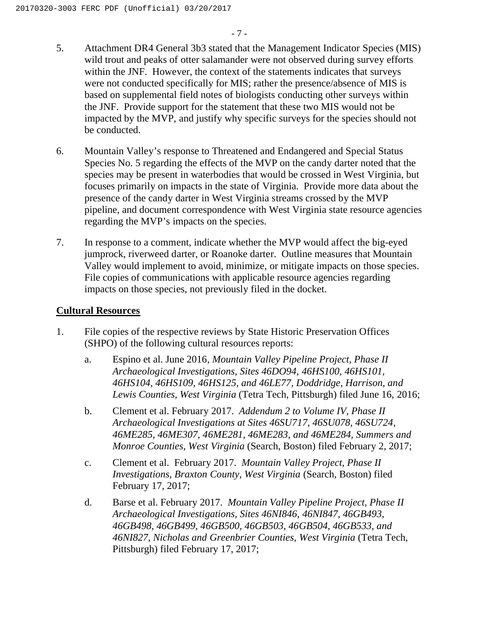- 5. Attachment DR4 General 3b3 stated that the Management Indicator Species (MIS) wild trout and peaks of otter salamander were not observed during survey efforts within the JNF. However, the context of the statements indicates that surveys were not conducted specifically for MIS; rather the presence/absence of MIS is based on supplemental field notes of biologists conducting other surveys within the JNF. Provide support for the statement that these two MIS would not be impacted by the MVP, and justify why specific surveys for the species should not be conducted.
- 6. Mountain Valley's response to Threatened and Endangered and Special Status Species No. 5 regarding the effects of the MVP on the candy darter noted that the species may be present in waterbodies that would be crossed in West Virginia, but focuses primarily on impacts in the state of Virginia. Provide more data about the presence of the candy darter in West Virginia streams crossed by the MVP pipeline, and document correspondence with West Virginia state resource agencies regarding the MVP's impacts on the species.
- 7. In response to a comment, indicate whether the MVP would affect the big-eyed jumprock, riverweed darter, or Roanoke darter. Outline measures that Mountain Valley would implement to avoid, minimize, or mitigate impacts on those species. File copies of communications with applicable resource agencies regarding impacts on those species, not previously filed in the docket.

#### **Cultural Resources**

- 1. File copies of the respective reviews by State Historic Preservation Offices (SHPO) of the following cultural resources reports:
	- a. Espino et al. June 2016, *Mountain Valley Pipeline Project, Phase II Archaeological Investigations, Sites 46DO94, 46HS100, 46HS101, 46HS104, 46HS109, 46HS125, and 46LE77, Doddridge, Harrison, and Lewis Counties, West Virginia* (Tetra Tech, Pittsburgh) filed June 16, 2016;
	- b. Clement et al. February 2017. *Addendum 2 to Volume IV, Phase II Archaeological Investigations at Sites 46SU717, 46SU078, 46SU724, 46ME285, 46ME307, 46ME281, 46ME283, and 46ME284, Summers and Monroe Counties, West Virginia* (Search, Boston) filed February 2, 2017;
	- c. Clement et al. February 2017. *Mountain Valley Project, Phase II Investigations, Braxton County, West Virginia* (Search, Boston) filed February 17, 2017;
	- d. Barse et al. February 2017. *Mountain Valley Pipeline Project, Phase II Archaeological Investigations, Sites 46NI846, 46NI847, 46GB493, 46GB498, 46GB499, 46GB500, 46GB503, 46GB504, 46GB533, and 46NI827, Nicholas and Greenbrier Counties, West Virginia* (Tetra Tech, Pittsburgh) filed February 17, 2017;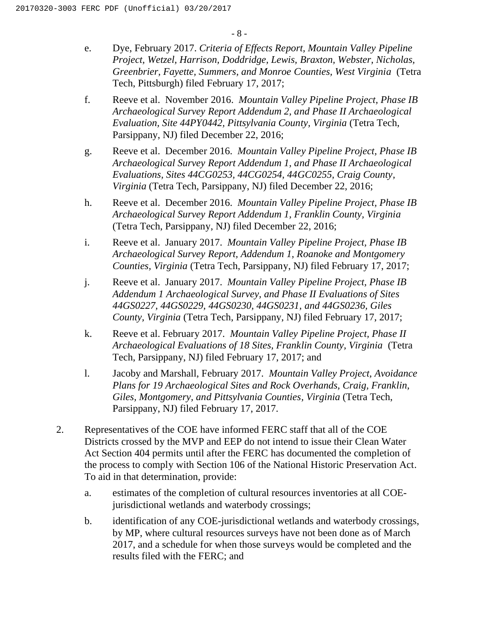- 8 -

- e. Dye, February 2017. *Criteria of Effects Report, Mountain Valley Pipeline Project, Wetzel, Harrison, Doddridge, Lewis, Braxton, Webster, Nicholas, Greenbrier, Fayette, Summers, and Monroe Counties, West Virginia* (Tetra Tech, Pittsburgh) filed February 17, 2017;
- f. Reeve et al. November 2016. *Mountain Valley Pipeline Project, Phase IB Archaeological Survey Report Addendum 2, and Phase II Archaeological Evaluation, Site 44PY0442, Pittsylvania County, Virginia* (Tetra Tech, Parsippany, NJ) filed December 22, 2016;
- g. Reeve et al. December 2016. *Mountain Valley Pipeline Project, Phase IB Archaeological Survey Report Addendum 1, and Phase II Archaeological Evaluations, Sites 44CG0253, 44CG0254, 44GC0255, Craig County, Virginia* (Tetra Tech, Parsippany, NJ) filed December 22, 2016;
- h. Reeve et al. December 2016. *Mountain Valley Pipeline Project, Phase IB Archaeological Survey Report Addendum 1, Franklin County, Virginia* (Tetra Tech, Parsippany, NJ) filed December 22, 2016;
- i. Reeve et al. January 2017. *Mountain Valley Pipeline Project, Phase IB Archaeological Survey Report, Addendum 1, Roanoke and Montgomery Counties, Virginia* (Tetra Tech, Parsippany, NJ) filed February 17, 2017;
- j. Reeve et al. January 2017. *Mountain Valley Pipeline Project, Phase IB Addendum 1 Archaeological Survey, and Phase II Evaluations of Sites 44GS0227, 44GS0229, 44GS0230, 44GS0231, and 44GS0236, Giles County, Virginia* (Tetra Tech, Parsippany, NJ) filed February 17, 2017;
- k. Reeve et al. February 2017. *Mountain Valley Pipeline Project, Phase II Archaeological Evaluations of 18 Sites, Franklin County, Virginia* (Tetra Tech, Parsippany, NJ) filed February 17, 2017; and
- l. Jacoby and Marshall, February 2017. *Mountain Valley Project, Avoidance Plans for 19 Archaeological Sites and Rock Overhands, Craig, Franklin, Giles, Montgomery, and Pittsylvania Counties, Virginia* (Tetra Tech, Parsippany, NJ) filed February 17, 2017.
- 2. Representatives of the COE have informed FERC staff that all of the COE Districts crossed by the MVP and EEP do not intend to issue their Clean Water Act Section 404 permits until after the FERC has documented the completion of the process to comply with Section 106 of the National Historic Preservation Act. To aid in that determination, provide:
	- a. estimates of the completion of cultural resources inventories at all COEjurisdictional wetlands and waterbody crossings;
	- b. identification of any COE-jurisdictional wetlands and waterbody crossings, by MP, where cultural resources surveys have not been done as of March 2017, and a schedule for when those surveys would be completed and the results filed with the FERC; and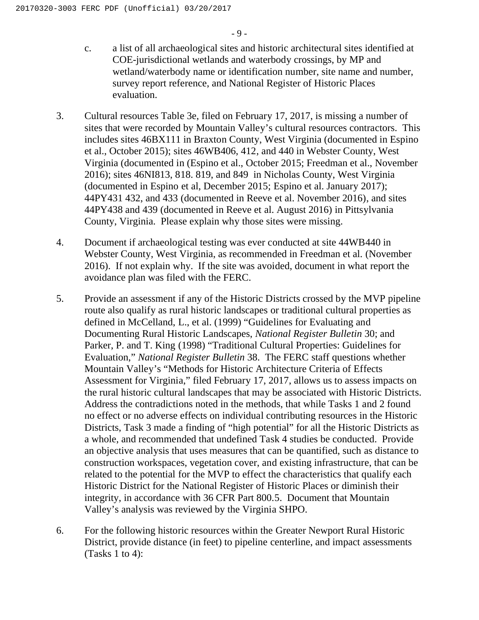- c. a list of all archaeological sites and historic architectural sites identified at COE-jurisdictional wetlands and waterbody crossings, by MP and wetland/waterbody name or identification number, site name and number, survey report reference, and National Register of Historic Places evaluation.
- 3. Cultural resources Table 3e, filed on February 17, 2017, is missing a number of sites that were recorded by Mountain Valley's cultural resources contractors. This includes sites 46BX111 in Braxton County, West Virginia (documented in Espino et al., October 2015); sites 46WB406, 412, and 440 in Webster County, West Virginia (documented in (Espino et al., October 2015; Freedman et al., November 2016); sites 46NI813, 818. 819, and 849 in Nicholas County, West Virginia (documented in Espino et al, December 2015; Espino et al. January 2017); 44PY431 432, and 433 (documented in Reeve et al. November 2016), and sites 44PY438 and 439 (documented in Reeve et al. August 2016) in Pittsylvania County, Virginia. Please explain why those sites were missing.
- 4. Document if archaeological testing was ever conducted at site 44WB440 in Webster County, West Virginia, as recommended in Freedman et al. (November 2016). If not explain why. If the site was avoided, document in what report the avoidance plan was filed with the FERC.
- 5. Provide an assessment if any of the Historic Districts crossed by the MVP pipeline route also qualify as rural historic landscapes or traditional cultural properties as defined in McCelland, L., et al. (1999) "Guidelines for Evaluating and Documenting Rural Historic Landscapes, *National Register Bulletin* 30; and Parker, P. and T. King (1998) "Traditional Cultural Properties: Guidelines for Evaluation," *National Register Bulletin* 38. The FERC staff questions whether Mountain Valley's "Methods for Historic Architecture Criteria of Effects Assessment for Virginia," filed February 17, 2017, allows us to assess impacts on the rural historic cultural landscapes that may be associated with Historic Districts. Address the contradictions noted in the methods, that while Tasks 1 and 2 found no effect or no adverse effects on individual contributing resources in the Historic Districts, Task 3 made a finding of "high potential" for all the Historic Districts as a whole, and recommended that undefined Task 4 studies be conducted. Provide an objective analysis that uses measures that can be quantified, such as distance to construction workspaces, vegetation cover, and existing infrastructure, that can be related to the potential for the MVP to effect the characteristics that qualify each Historic District for the National Register of Historic Places or diminish their integrity, in accordance with 36 CFR Part 800.5. Document that Mountain Valley's analysis was reviewed by the Virginia SHPO.
- 6. For the following historic resources within the Greater Newport Rural Historic District, provide distance (in feet) to pipeline centerline, and impact assessments (Tasks 1 to 4):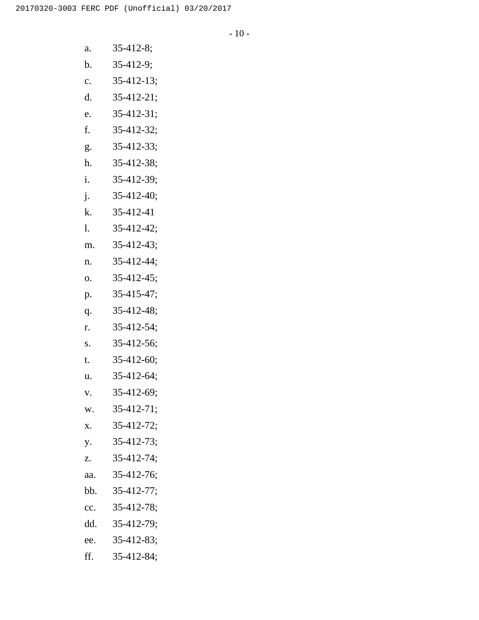- a. 35-412-8;
- b. 35-412-9;
- c. 35-412-13;
- d. 35-412-21;
- e. 35-412-31;
- f. 35-412-32;
- g. 35-412-33;
- h. 35-412-38;
- i. 35-412-39;
- j. 35-412-40;
- k. 35-412-41
- l. 35-412-42;
- m. 35-412-43;
- n. 35-412-44;
- o. 35-412-45;
- p. 35-415-47;
- q. 35-412-48;
- r. 35-412-54;
- s. 35-412-56;
- t. 35-412-60;
- u. 35-412-64;
- v. 35-412-69;
- w. 35-412-71;
- x. 35-412-72;
- y. 35-412-73;
- z. 35-412-74;
- aa. 35-412-76;
- bb. 35-412-77;
- cc. 35-412-78;
- dd. 35-412-79;
- ee. 35-412-83;
- ff. 35-412-84;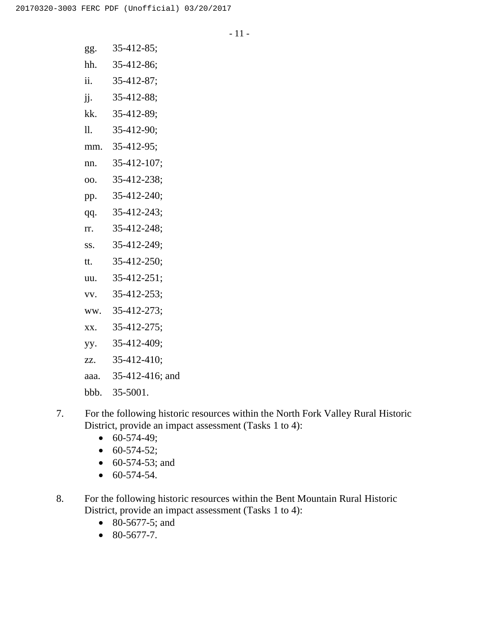- gg. 35-412-85;
- hh. 35-412-86;
- ii. 35-412-87;
- jj. 35-412-88;
- kk. 35-412-89;
- ll. 35-412-90;
- mm. 35-412-95;
- nn. 35-412-107;
- oo. 35-412-238;
- pp. 35-412-240;
- qq. 35-412-243;
- rr. 35-412-248;
- ss. 35-412-249;
- tt. 35-412-250;
- uu. 35-412-251;
- vv. 35-412-253;
- ww. 35-412-273;
- xx. 35-412-275;
- yy. 35-412-409;
- zz. 35-412-410;
- aaa. 35-412-416; and
- bbb. 35-5001.
- 7. For the following historic resources within the North Fork Valley Rural Historic District, provide an impact assessment (Tasks 1 to 4):
	- $\bullet$  60-574-49;
	- $\bullet$  60-574-52;
	- $\bullet$  60-574-53; and
	- $\bullet$  60-574-54.
- 8. For the following historic resources within the Bent Mountain Rural Historic District, provide an impact assessment (Tasks 1 to 4):
	- 80-5677-5; and
	- $\bullet$  80-5677-7.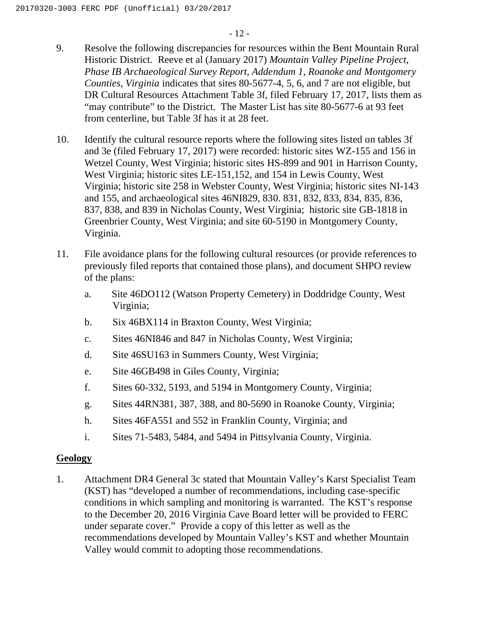- 9. Resolve the following discrepancies for resources within the Bent Mountain Rural Historic District. Reeve et al (January 2017) *Mountain Valley Pipeline Project, Phase IB Archaeological Survey Report, Addendum 1, Roanoke and Montgomery Counties, Virginia* indicates that sites 80-5677-4, 5, 6, and 7 are not eligible, but DR Cultural Resources Attachment Table 3f, filed February 17, 2017, lists them as "may contribute" to the District. The Master List has site 80-5677-6 at 93 feet from centerline, but Table 3f has it at 28 feet.
- 10. Identify the cultural resource reports where the following sites listed on tables 3f and 3e (filed February 17, 2017) were recorded: historic sites WZ-155 and 156 in Wetzel County, West Virginia; historic sites HS-899 and 901 in Harrison County, West Virginia; historic sites LE-151,152, and 154 in Lewis County, West Virginia; historic site 258 in Webster County, West Virginia; historic sites NI-143 and 155, and archaeological sites 46NI829, 830. 831, 832, 833, 834, 835, 836, 837, 838, and 839 in Nicholas County, West Virginia; historic site GB-1818 in Greenbrier County, West Virginia; and site 60-5190 in Montgomery County, Virginia.
- 11. File avoidance plans for the following cultural resources (or provide references to previously filed reports that contained those plans), and document SHPO review of the plans:
	- a. Site 46DO112 (Watson Property Cemetery) in Doddridge County, West Virginia;
	- b. Six 46BX114 in Braxton County, West Virginia;
	- c. Sites 46NI846 and 847 in Nicholas County, West Virginia;
	- d. Site 46SU163 in Summers County, West Virginia;
	- e. Site 46GB498 in Giles County, Virginia;
	- f. Sites 60-332, 5193, and 5194 in Montgomery County, Virginia;
	- g. Sites 44RN381, 387, 388, and 80-5690 in Roanoke County, Virginia;
	- h. Sites 46FA551 and 552 in Franklin County, Virginia; and
	- i. Sites 71-5483, 5484, and 5494 in Pittsylvania County, Virginia.

## **Geology**

1. Attachment DR4 General 3c stated that Mountain Valley's Karst Specialist Team (KST) has "developed a number of recommendations, including case-specific conditions in which sampling and monitoring is warranted. The KST's response to the December 20, 2016 Virginia Cave Board letter will be provided to FERC under separate cover." Provide a copy of this letter as well as the recommendations developed by Mountain Valley's KST and whether Mountain Valley would commit to adopting those recommendations.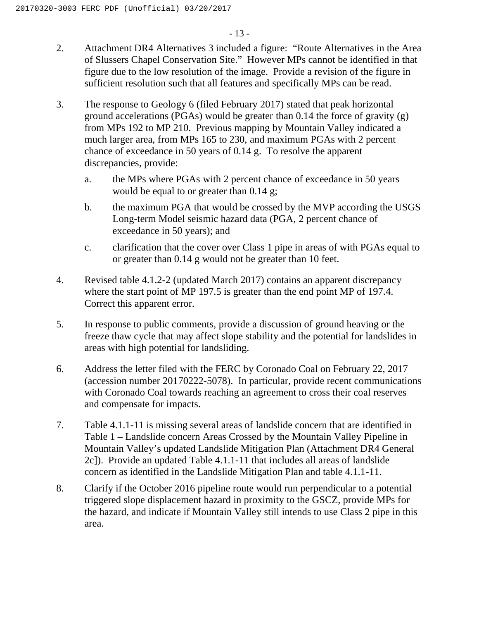- 2. Attachment DR4 Alternatives 3 included a figure: "Route Alternatives in the Area of Slussers Chapel Conservation Site." However MPs cannot be identified in that figure due to the low resolution of the image. Provide a revision of the figure in sufficient resolution such that all features and specifically MPs can be read.
- 3. The response to Geology 6 (filed February 2017) stated that peak horizontal ground accelerations (PGAs) would be greater than 0.14 the force of gravity (g) from MPs 192 to MP 210. Previous mapping by Mountain Valley indicated a much larger area, from MPs 165 to 230, and maximum PGAs with 2 percent chance of exceedance in 50 years of 0.14 g. To resolve the apparent discrepancies, provide:
	- a. the MPs where PGAs with 2 percent chance of exceedance in 50 years would be equal to or greater than 0.14 g;
	- b. the maximum PGA that would be crossed by the MVP according the USGS Long-term Model seismic hazard data (PGA, 2 percent chance of exceedance in 50 years); and
	- c. clarification that the cover over Class 1 pipe in areas of with PGAs equal to or greater than 0.14 g would not be greater than 10 feet.
- 4. Revised table 4.1.2-2 (updated March 2017) contains an apparent discrepancy where the start point of MP 197.5 is greater than the end point MP of 197.4. Correct this apparent error.
- 5. In response to public comments, provide a discussion of ground heaving or the freeze thaw cycle that may affect slope stability and the potential for landslides in areas with high potential for landsliding.
- 6. Address the letter filed with the FERC by Coronado Coal on February 22, 2017 (accession number 20170222-5078). In particular, provide recent communications with Coronado Coal towards reaching an agreement to cross their coal reserves and compensate for impacts.
- 7. Table 4.1.1-11 is missing several areas of landslide concern that are identified in Table 1 – Landslide concern Areas Crossed by the Mountain Valley Pipeline in Mountain Valley's updated Landslide Mitigation Plan (Attachment DR4 General 2c]). Provide an updated Table 4.1.1-11 that includes all areas of landslide concern as identified in the Landslide Mitigation Plan and table 4.1.1-11.
- 8. Clarify if the October 2016 pipeline route would run perpendicular to a potential triggered slope displacement hazard in proximity to the GSCZ, provide MPs for the hazard, and indicate if Mountain Valley still intends to use Class 2 pipe in this area.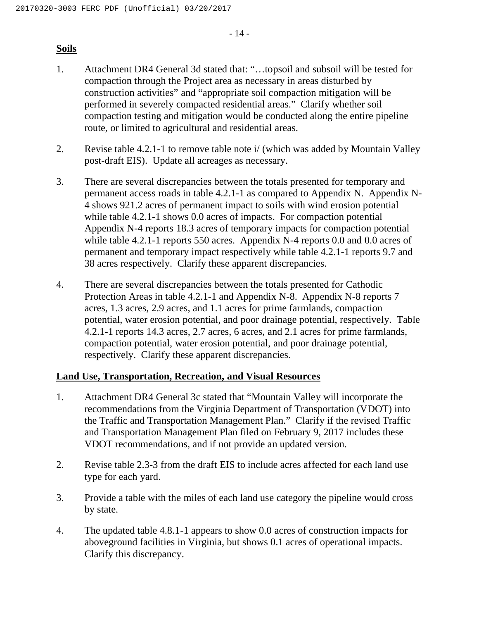## **Soils**

- 1. Attachment DR4 General 3d stated that: "…topsoil and subsoil will be tested for compaction through the Project area as necessary in areas disturbed by construction activities" and "appropriate soil compaction mitigation will be performed in severely compacted residential areas." Clarify whether soil compaction testing and mitigation would be conducted along the entire pipeline route, or limited to agricultural and residential areas.
- 2. Revise table 4.2.1-1 to remove table note i/ (which was added by Mountain Valley post-draft EIS). Update all acreages as necessary.
- 3. There are several discrepancies between the totals presented for temporary and permanent access roads in table 4.2.1-1 as compared to Appendix N. Appendix N-4 shows 921.2 acres of permanent impact to soils with wind erosion potential while table 4.2.1-1 shows 0.0 acres of impacts. For compaction potential Appendix N-4 reports 18.3 acres of temporary impacts for compaction potential while table 4.2.1-1 reports 550 acres. Appendix N-4 reports 0.0 and 0.0 acres of permanent and temporary impact respectively while table 4.2.1-1 reports 9.7 and 38 acres respectively. Clarify these apparent discrepancies.
- 4. There are several discrepancies between the totals presented for Cathodic Protection Areas in table 4.2.1-1 and Appendix N-8. Appendix N-8 reports 7 acres, 1.3 acres, 2.9 acres, and 1.1 acres for prime farmlands, compaction potential, water erosion potential, and poor drainage potential, respectively. Table 4.2.1-1 reports 14.3 acres, 2.7 acres, 6 acres, and 2.1 acres for prime farmlands, compaction potential, water erosion potential, and poor drainage potential, respectively. Clarify these apparent discrepancies.

## **Land Use, Transportation, Recreation, and Visual Resources**

- 1. Attachment DR4 General 3c stated that "Mountain Valley will incorporate the recommendations from the Virginia Department of Transportation (VDOT) into the Traffic and Transportation Management Plan." Clarify if the revised Traffic and Transportation Management Plan filed on February 9, 2017 includes these VDOT recommendations, and if not provide an updated version.
- 2. Revise table 2.3-3 from the draft EIS to include acres affected for each land use type for each yard.
- 3. Provide a table with the miles of each land use category the pipeline would cross by state.
- 4. The updated table 4.8.1-1 appears to show 0.0 acres of construction impacts for aboveground facilities in Virginia, but shows 0.1 acres of operational impacts. Clarify this discrepancy.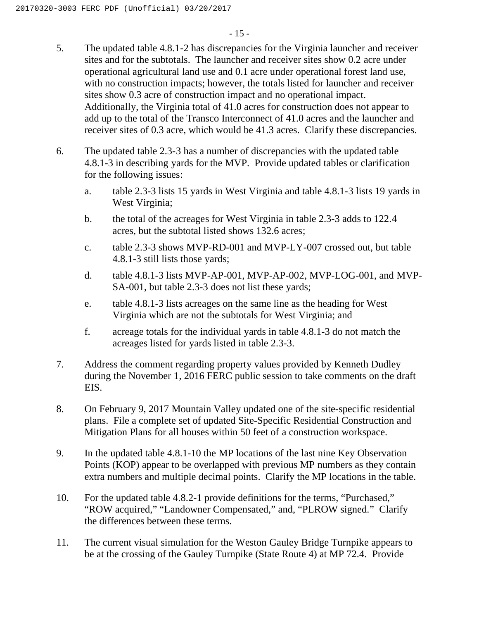- 5. The updated table 4.8.1-2 has discrepancies for the Virginia launcher and receiver sites and for the subtotals. The launcher and receiver sites show 0.2 acre under operational agricultural land use and 0.1 acre under operational forest land use, with no construction impacts; however, the totals listed for launcher and receiver sites show 0.3 acre of construction impact and no operational impact. Additionally, the Virginia total of 41.0 acres for construction does not appear to add up to the total of the Transco Interconnect of 41.0 acres and the launcher and receiver sites of 0.3 acre, which would be 41.3 acres. Clarify these discrepancies.
- 6. The updated table 2.3-3 has a number of discrepancies with the updated table 4.8.1-3 in describing yards for the MVP. Provide updated tables or clarification for the following issues:
	- a. table 2.3-3 lists 15 yards in West Virginia and table 4.8.1-3 lists 19 yards in West Virginia;
	- b. the total of the acreages for West Virginia in table 2.3-3 adds to 122.4 acres, but the subtotal listed shows 132.6 acres;
	- c. table 2.3-3 shows MVP-RD-001 and MVP-LY-007 crossed out, but table 4.8.1-3 still lists those yards;
	- d. table 4.8.1-3 lists MVP-AP-001, MVP-AP-002, MVP-LOG-001, and MVP-SA-001, but table 2.3-3 does not list these yards;
	- e. table 4.8.1-3 lists acreages on the same line as the heading for West Virginia which are not the subtotals for West Virginia; and
	- f. acreage totals for the individual yards in table 4.8.1-3 do not match the acreages listed for yards listed in table 2.3-3.
- 7. Address the comment regarding property values provided by Kenneth Dudley during the November 1, 2016 FERC public session to take comments on the draft EIS.
- 8. On February 9, 2017 Mountain Valley updated one of the site-specific residential plans. File a complete set of updated Site-Specific Residential Construction and Mitigation Plans for all houses within 50 feet of a construction workspace.
- 9. In the updated table 4.8.1-10 the MP locations of the last nine Key Observation Points (KOP) appear to be overlapped with previous MP numbers as they contain extra numbers and multiple decimal points. Clarify the MP locations in the table.
- 10. For the updated table 4.8.2-1 provide definitions for the terms, "Purchased," "ROW acquired," "Landowner Compensated," and, "PLROW signed." Clarify the differences between these terms.
- 11. The current visual simulation for the Weston Gauley Bridge Turnpike appears to be at the crossing of the Gauley Turnpike (State Route 4) at MP 72.4. Provide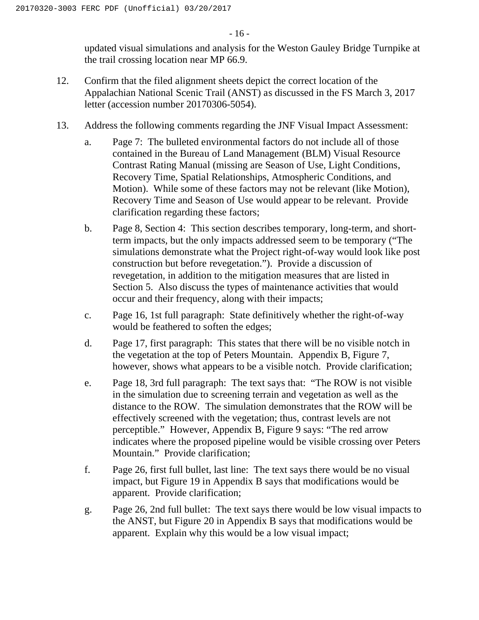- 16 -

updated visual simulations and analysis for the Weston Gauley Bridge Turnpike at the trail crossing location near MP 66.9.

- 12. Confirm that the filed alignment sheets depict the correct location of the Appalachian National Scenic Trail (ANST) as discussed in the FS March 3, 2017 letter (accession number 20170306-5054).
- 13. Address the following comments regarding the JNF Visual Impact Assessment:
	- a. Page 7: The bulleted environmental factors do not include all of those contained in the Bureau of Land Management (BLM) Visual Resource Contrast Rating Manual (missing are Season of Use, Light Conditions, Recovery Time, Spatial Relationships, Atmospheric Conditions, and Motion). While some of these factors may not be relevant (like Motion), Recovery Time and Season of Use would appear to be relevant. Provide clarification regarding these factors;
	- b. Page 8, Section 4: This section describes temporary, long-term, and shortterm impacts, but the only impacts addressed seem to be temporary ("The simulations demonstrate what the Project right-of-way would look like post construction but before revegetation."). Provide a discussion of revegetation, in addition to the mitigation measures that are listed in Section 5. Also discuss the types of maintenance activities that would occur and their frequency, along with their impacts;
	- c. Page 16, 1st full paragraph: State definitively whether the right-of-way would be feathered to soften the edges;
	- d. Page 17, first paragraph: This states that there will be no visible notch in the vegetation at the top of Peters Mountain. Appendix B, Figure 7, however, shows what appears to be a visible notch. Provide clarification;
	- e. Page 18, 3rd full paragraph: The text says that: "The ROW is not visible in the simulation due to screening terrain and vegetation as well as the distance to the ROW. The simulation demonstrates that the ROW will be effectively screened with the vegetation; thus, contrast levels are not perceptible." However, Appendix B, Figure 9 says: "The red arrow indicates where the proposed pipeline would be visible crossing over Peters Mountain." Provide clarification;
	- f. Page 26, first full bullet, last line: The text says there would be no visual impact, but Figure 19 in Appendix B says that modifications would be apparent. Provide clarification;
	- g. Page 26, 2nd full bullet: The text says there would be low visual impacts to the ANST, but Figure 20 in Appendix B says that modifications would be apparent. Explain why this would be a low visual impact;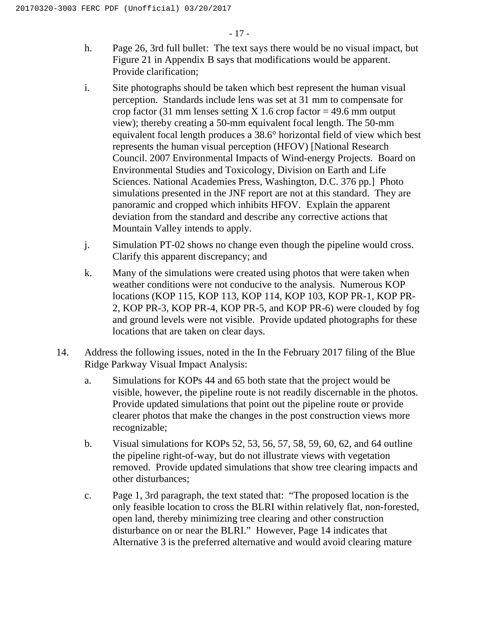- h. Page 26, 3rd full bullet: The text says there would be no visual impact, but Figure 21 in Appendix B says that modifications would be apparent. Provide clarification;
- i. Site photographs should be taken which best represent the human visual perception. Standards include lens was set at 31 mm to compensate for crop factor (31 mm lenses setting X 1.6 crop factor = 49.6 mm output view); thereby creating a 50-mm equivalent focal length. The 50-mm equivalent focal length produces a 38.6° horizontal field of view which best represents the human visual perception (HFOV) [National Research Council. 2007 Environmental Impacts of Wind-energy Projects. Board on Environmental Studies and Toxicology, Division on Earth and Life Sciences. National Academies Press, Washington, D.C. 376 pp.] Photo simulations presented in the JNF report are not at this standard. They are panoramic and cropped which inhibits HFOV. Explain the apparent deviation from the standard and describe any corrective actions that Mountain Valley intends to apply.
- j. Simulation PT-02 shows no change even though the pipeline would cross. Clarify this apparent discrepancy; and
- k. Many of the simulations were created using photos that were taken when weather conditions were not conducive to the analysis. Numerous KOP locations (KOP 115, KOP 113, KOP 114, KOP 103, KOP PR-1, KOP PR-2, KOP PR-3, KOP PR-4, KOP PR-5, and KOP PR-6) were clouded by fog and ground levels were not visible. Provide updated photographs for these locations that are taken on clear days.
- 14. Address the following issues, noted in the In the February 2017 filing of the Blue Ridge Parkway Visual Impact Analysis:
	- a. Simulations for KOPs 44 and 65 both state that the project would be visible, however, the pipeline route is not readily discernable in the photos. Provide updated simulations that point out the pipeline route or provide clearer photos that make the changes in the post construction views more recognizable;
	- b. Visual simulations for KOPs 52, 53, 56, 57, 58, 59, 60, 62, and 64 outline the pipeline right-of-way, but do not illustrate views with vegetation removed. Provide updated simulations that show tree clearing impacts and other disturbances;
	- c. Page 1, 3rd paragraph, the text stated that: "The proposed location is the only feasible location to cross the BLRI within relatively flat, non-forested, open land, thereby minimizing tree clearing and other construction disturbance on or near the BLRI." However, Page 14 indicates that Alternative 3 is the preferred alternative and would avoid clearing mature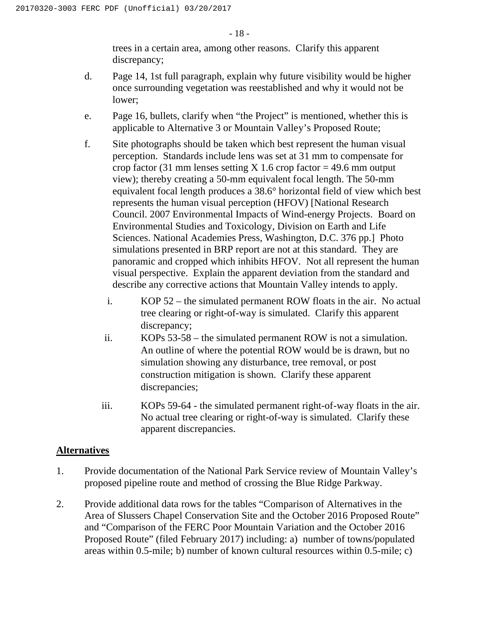- 18 -

trees in a certain area, among other reasons. Clarify this apparent discrepancy;

- d. Page 14, 1st full paragraph, explain why future visibility would be higher once surrounding vegetation was reestablished and why it would not be lower;
- e. Page 16, bullets, clarify when "the Project" is mentioned, whether this is applicable to Alternative 3 or Mountain Valley's Proposed Route;
- f. Site photographs should be taken which best represent the human visual perception. Standards include lens was set at 31 mm to compensate for crop factor (31 mm lenses setting X 1.6 crop factor  $=$  49.6 mm output view); thereby creating a 50-mm equivalent focal length. The 50-mm equivalent focal length produces a 38.6° horizontal field of view which best represents the human visual perception (HFOV) [National Research Council. 2007 Environmental Impacts of Wind-energy Projects. Board on Environmental Studies and Toxicology, Division on Earth and Life Sciences. National Academies Press, Washington, D.C. 376 pp.] Photo simulations presented in BRP report are not at this standard. They are panoramic and cropped which inhibits HFOV. Not all represent the human visual perspective. Explain the apparent deviation from the standard and describe any corrective actions that Mountain Valley intends to apply.
	- i. KOP 52 the simulated permanent ROW floats in the air. No actual tree clearing or right-of-way is simulated. Clarify this apparent discrepancy;
	- ii. KOPs 53-58 the simulated permanent ROW is not a simulation. An outline of where the potential ROW would be is drawn, but no simulation showing any disturbance, tree removal, or post construction mitigation is shown. Clarify these apparent discrepancies;
	- iii. KOPs 59-64 the simulated permanent right-of-way floats in the air. No actual tree clearing or right-of-way is simulated. Clarify these apparent discrepancies.

# **Alternatives**

- 1. Provide documentation of the National Park Service review of Mountain Valley's proposed pipeline route and method of crossing the Blue Ridge Parkway.
- 2. Provide additional data rows for the tables "Comparison of Alternatives in the Area of Slussers Chapel Conservation Site and the October 2016 Proposed Route" and "Comparison of the FERC Poor Mountain Variation and the October 2016 Proposed Route" (filed February 2017) including: a) number of towns/populated areas within 0.5-mile; b) number of known cultural resources within 0.5-mile; c)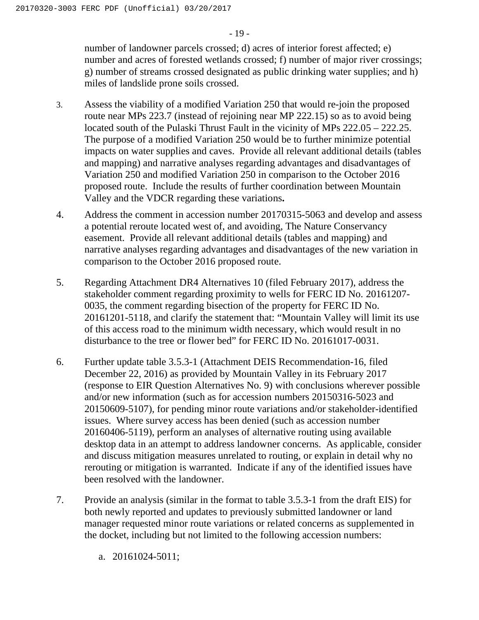- 19 -

number of landowner parcels crossed; d) acres of interior forest affected; e) number and acres of forested wetlands crossed; f) number of major river crossings; g) number of streams crossed designated as public drinking water supplies; and h) miles of landslide prone soils crossed.

- 3. Assess the viability of a modified Variation 250 that would re-join the proposed route near MPs 223.7 (instead of rejoining near MP 222.15) so as to avoid being located south of the Pulaski Thrust Fault in the vicinity of MPs 222.05 – 222.25. The purpose of a modified Variation 250 would be to further minimize potential impacts on water supplies and caves. Provide all relevant additional details (tables and mapping) and narrative analyses regarding advantages and disadvantages of Variation 250 and modified Variation 250 in comparison to the October 2016 proposed route. Include the results of further coordination between Mountain Valley and the VDCR regarding these variations**.**
- 4. Address the comment in accession number 20170315-5063 and develop and assess a potential reroute located west of, and avoiding, The Nature Conservancy easement. Provide all relevant additional details (tables and mapping) and narrative analyses regarding advantages and disadvantages of the new variation in comparison to the October 2016 proposed route.
- 5. Regarding Attachment DR4 Alternatives 10 (filed February 2017), address the stakeholder comment regarding proximity to wells for FERC ID No. 20161207- 0035, the comment regarding bisection of the property for FERC ID No. 20161201-5118, and clarify the statement that: "Mountain Valley will limit its use of this access road to the minimum width necessary, which would result in no disturbance to the tree or flower bed" for FERC ID No. 20161017-0031.
- 6. Further update table 3.5.3-1 (Attachment DEIS Recommendation-16, filed December 22, 2016) as provided by Mountain Valley in its February 2017 (response to EIR Question Alternatives No. 9) with conclusions wherever possible and/or new information (such as for accession numbers 20150316-5023 and 20150609-5107), for pending minor route variations and/or stakeholder-identified issues. Where survey access has been denied (such as accession number 20160406-5119), perform an analyses of alternative routing using available desktop data in an attempt to address landowner concerns. As applicable, consider and discuss mitigation measures unrelated to routing, or explain in detail why no rerouting or mitigation is warranted. Indicate if any of the identified issues have been resolved with the landowner.
- 7. Provide an analysis (similar in the format to table 3.5.3-1 from the draft EIS) for both newly reported and updates to previously submitted landowner or land manager requested minor route variations or related concerns as supplemented in the docket, including but not limited to the following accession numbers:
	- a. 20161024-5011;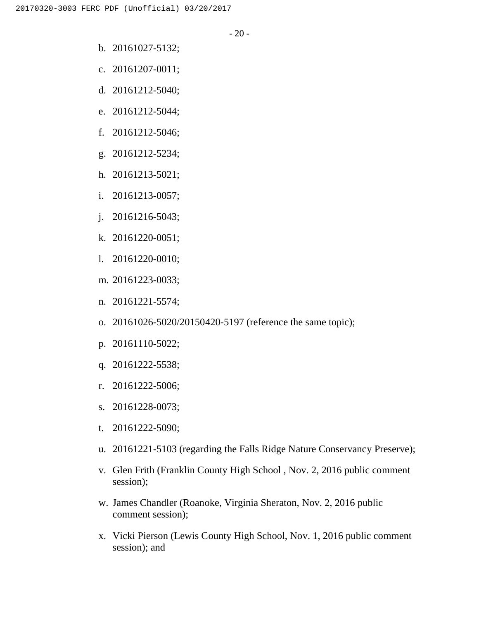- b. 20161027-5132;
- c. 20161207-0011;
- d. 20161212-5040;
- e. 20161212-5044;
- f. 20161212-5046;
- g. 20161212-5234;
- h. 20161213-5021;
- i. 20161213-0057;
- j. 20161216-5043;
- k. 20161220-0051;
- l. 20161220-0010;
- m. 20161223-0033;
- n. 20161221-5574;
- o. 20161026-5020/20150420-5197 (reference the same topic);
- p. 20161110-5022;
- q. 20161222-5538;
- r. 20161222-5006;
- s. 20161228-0073;
- t. 20161222-5090;
- u. 20161221-5103 (regarding the Falls Ridge Nature Conservancy Preserve);
- v. Glen Frith (Franklin County High School , Nov. 2, 2016 public comment session);
- w. James Chandler (Roanoke, Virginia Sheraton, Nov. 2, 2016 public comment session);
- x. Vicki Pierson (Lewis County High School, Nov. 1, 2016 public comment session); and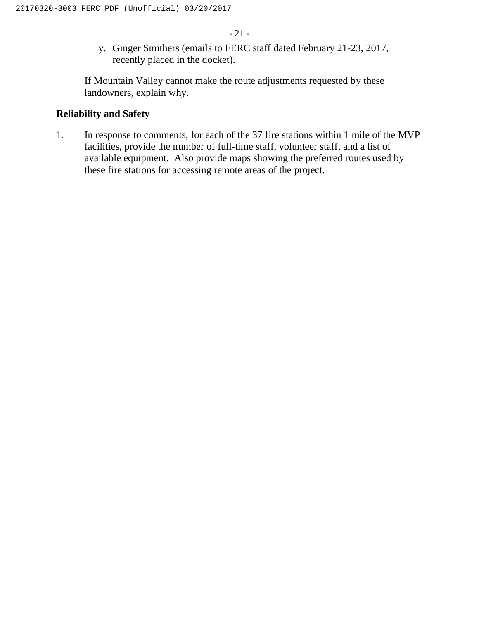y. Ginger Smithers (emails to FERC staff dated February 21-23, 2017, recently placed in the docket).

If Mountain Valley cannot make the route adjustments requested by these landowners, explain why.

# **Reliability and Safety**

1. In response to comments, for each of the 37 fire stations within 1 mile of the MVP facilities, provide the number of full-time staff, volunteer staff, and a list of available equipment. Also provide maps showing the preferred routes used by these fire stations for accessing remote areas of the project.